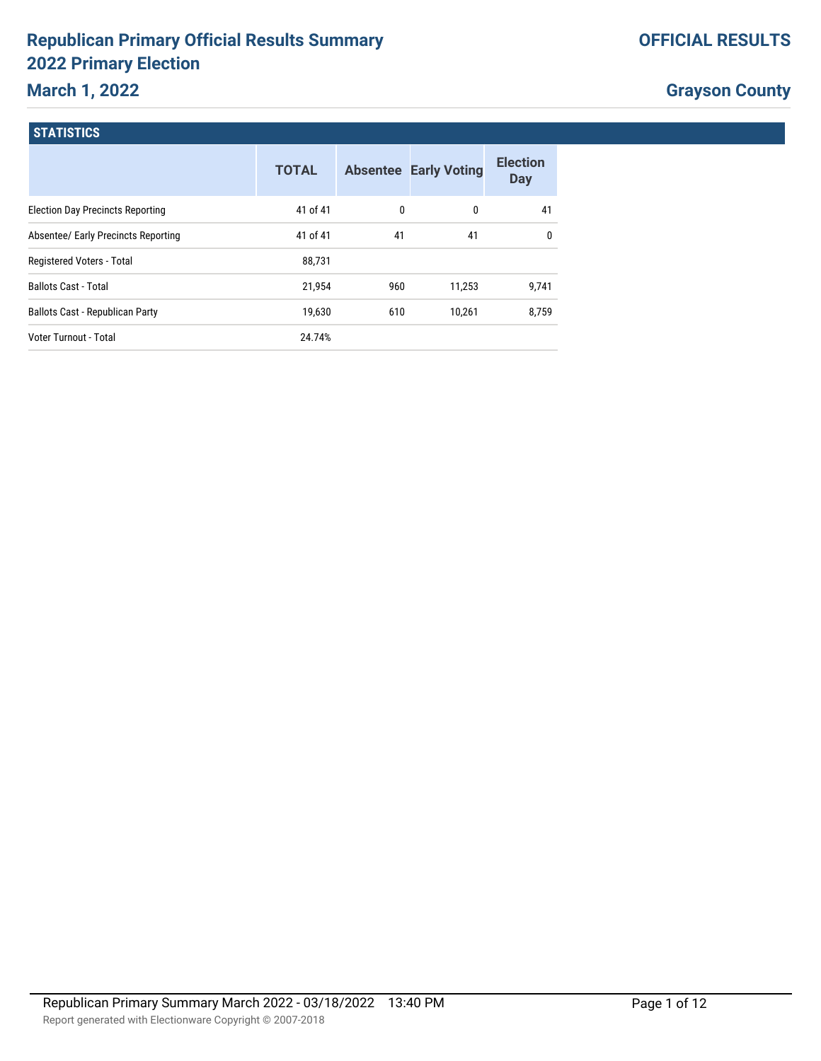## **Republican Primary Official Results Summary 2022 Primary Election**

## **March 1, 2022**

|  |  |  | <b>OFFICIAL RESULTS</b> |
|--|--|--|-------------------------|
|  |  |  |                         |

## **Grayson County**

#### **STATISTICS**

|                                         | <b>TOTAL</b> |     | <b>Absentee Early Voting</b> | <b>Election</b><br><b>Day</b> |
|-----------------------------------------|--------------|-----|------------------------------|-------------------------------|
| <b>Election Day Precincts Reporting</b> | 41 of 41     | 0   | 0                            | 41                            |
| Absentee/ Early Precincts Reporting     | 41 of 41     | 41  | 41                           | $\mathbf{0}$                  |
| Registered Voters - Total               | 88.731       |     |                              |                               |
| <b>Ballots Cast - Total</b>             | 21,954       | 960 | 11,253                       | 9,741                         |
| <b>Ballots Cast - Republican Party</b>  | 19.630       | 610 | 10.261                       | 8.759                         |
| Voter Turnout - Total                   | 24.74%       |     |                              |                               |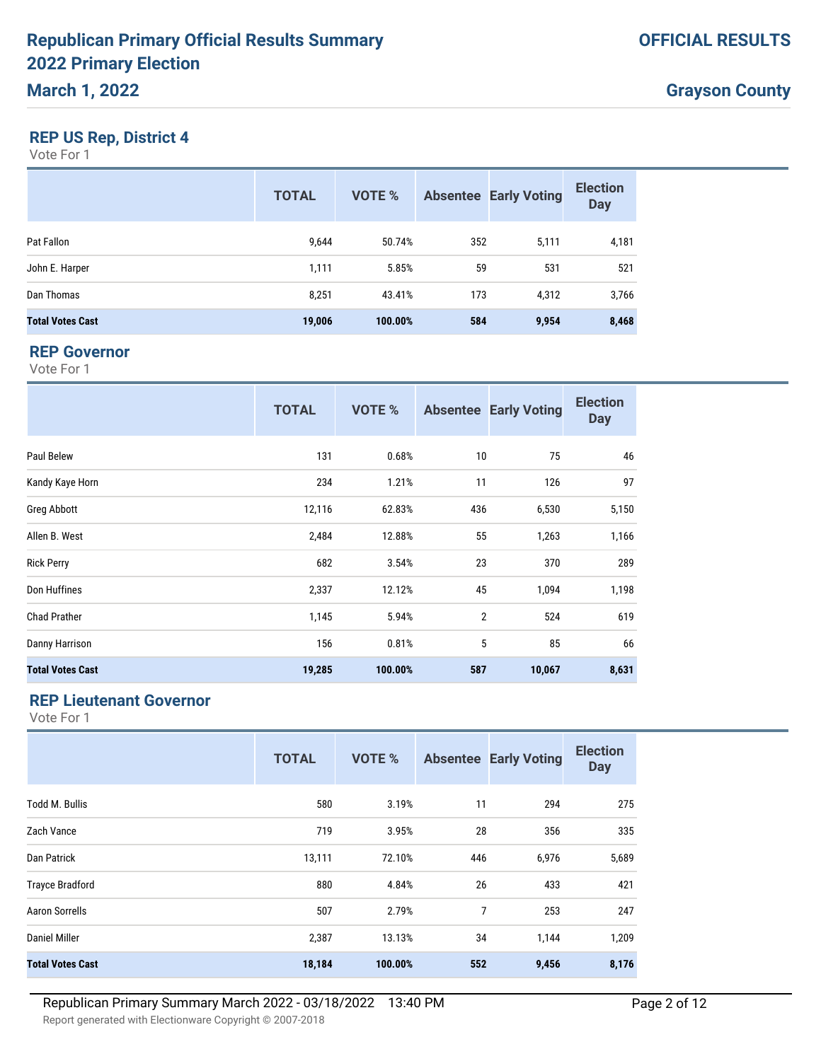#### **REP US Rep, District 4**

Vote For 1

|                         | <b>TOTAL</b> | <b>VOTE %</b> |     | <b>Absentee Early Voting</b> | <b>Election</b><br><b>Day</b> |
|-------------------------|--------------|---------------|-----|------------------------------|-------------------------------|
| Pat Fallon              | 9.644        | 50.74%        | 352 | 5,111                        | 4,181                         |
| John E. Harper          | 1,111        | 5.85%         | 59  | 531                          | 521                           |
| Dan Thomas              | 8,251        | 43.41%        | 173 | 4.312                        | 3,766                         |
| <b>Total Votes Cast</b> | 19,006       | 100.00%       | 584 | 9,954                        | 8,468                         |

#### **REP Governor**

Vote For 1

|                         | <b>TOTAL</b> | <b>VOTE %</b> |                | <b>Absentee Early Voting</b> | <b>Election</b><br><b>Day</b> |
|-------------------------|--------------|---------------|----------------|------------------------------|-------------------------------|
| Paul Belew              | 131          | 0.68%         | 10             | 75                           | 46                            |
| Kandy Kaye Horn         | 234          | 1.21%         | 11             | 126                          | 97                            |
| Greg Abbott             | 12,116       | 62.83%        | 436            | 6,530                        | 5,150                         |
| Allen B. West           | 2,484        | 12.88%        | 55             | 1,263                        | 1,166                         |
| <b>Rick Perry</b>       | 682          | 3.54%         | 23             | 370                          | 289                           |
| Don Huffines            | 2,337        | 12.12%        | 45             | 1,094                        | 1,198                         |
| <b>Chad Prather</b>     | 1,145        | 5.94%         | $\overline{2}$ | 524                          | 619                           |
| Danny Harrison          | 156          | 0.81%         | 5              | 85                           | 66                            |
| <b>Total Votes Cast</b> | 19,285       | 100.00%       | 587            | 10,067                       | 8,631                         |

#### **REP Lieutenant Governor**

|                         | <b>TOTAL</b> | <b>VOTE %</b> | <b>Absentee</b> | <b>Early Voting</b> | <b>Election</b><br><b>Day</b> |
|-------------------------|--------------|---------------|-----------------|---------------------|-------------------------------|
| <b>Todd M. Bullis</b>   | 580          | 3.19%         | 11              | 294                 | 275                           |
| Zach Vance              | 719          | 3.95%         | 28              | 356                 | 335                           |
| Dan Patrick             | 13,111       | 72.10%        | 446             | 6,976               | 5,689                         |
| <b>Trayce Bradford</b>  | 880          | 4.84%         | 26              | 433                 | 421                           |
| <b>Aaron Sorrells</b>   | 507          | 2.79%         | 7               | 253                 | 247                           |
| <b>Daniel Miller</b>    | 2,387        | 13.13%        | 34              | 1,144               | 1,209                         |
| <b>Total Votes Cast</b> | 18,184       | 100.00%       | 552             | 9,456               | 8,176                         |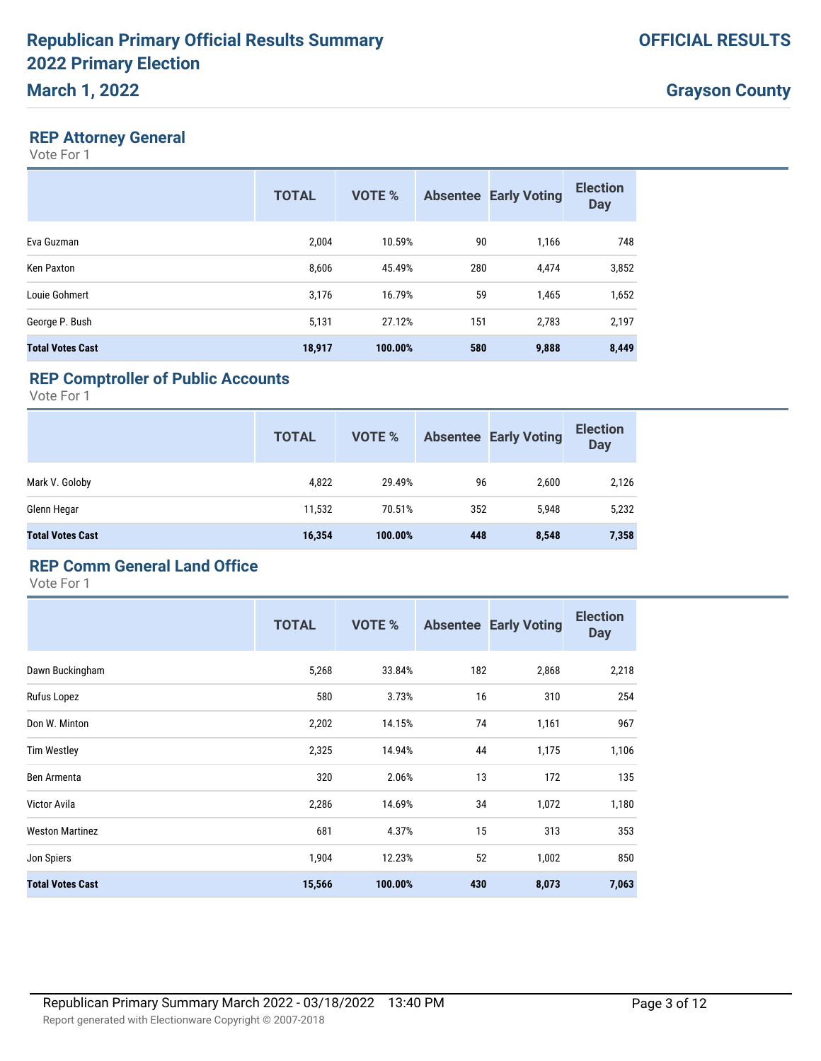#### **REP Attorney General**

Vote For 1

|                         | <b>TOTAL</b> | <b>VOTE %</b> |     | <b>Absentee Early Voting</b> | <b>Election</b><br><b>Day</b> |
|-------------------------|--------------|---------------|-----|------------------------------|-------------------------------|
| Eva Guzman              | 2,004        | 10.59%        | 90  | 1,166                        | 748                           |
| Ken Paxton              | 8,606        | 45.49%        | 280 | 4,474                        | 3,852                         |
| Louie Gohmert           | 3,176        | 16.79%        | 59  | 1,465                        | 1,652                         |
| George P. Bush          | 5,131        | 27.12%        | 151 | 2,783                        | 2,197                         |
| <b>Total Votes Cast</b> | 18,917       | 100.00%       | 580 | 9,888                        | 8,449                         |

## **REP Comptroller of Public Accounts**

Vote For 1

|                         | <b>TOTAL</b> | <b>VOTE %</b> |     | <b>Absentee Early Voting</b> | <b>Election</b><br><b>Day</b> |
|-------------------------|--------------|---------------|-----|------------------------------|-------------------------------|
| Mark V. Goloby          | 4,822        | 29.49%        | 96  | 2,600                        | 2,126                         |
| Glenn Hegar             | 11,532       | 70.51%        | 352 | 5,948                        | 5,232                         |
| <b>Total Votes Cast</b> | 16,354       | 100.00%       | 448 | 8,548                        | 7,358                         |

#### **REP Comm General Land Office**

|                         | <b>TOTAL</b> | <b>VOTE %</b> |     | <b>Absentee Early Voting</b> | <b>Election</b><br><b>Day</b> |
|-------------------------|--------------|---------------|-----|------------------------------|-------------------------------|
| Dawn Buckingham         | 5,268        | 33.84%        | 182 | 2,868                        | 2,218                         |
| Rufus Lopez             | 580          | 3.73%         | 16  | 310                          | 254                           |
| Don W. Minton           | 2,202        | 14.15%        | 74  | 1,161                        | 967                           |
| <b>Tim Westley</b>      | 2,325        | 14.94%        | 44  | 1,175                        | 1,106                         |
| Ben Armenta             | 320          | 2.06%         | 13  | 172                          | 135                           |
| Victor Avila            | 2,286        | 14.69%        | 34  | 1,072                        | 1,180                         |
| <b>Weston Martinez</b>  | 681          | 4.37%         | 15  | 313                          | 353                           |
| Jon Spiers              | 1,904        | 12.23%        | 52  | 1,002                        | 850                           |
| <b>Total Votes Cast</b> | 15,566       | 100.00%       | 430 | 8,073                        | 7,063                         |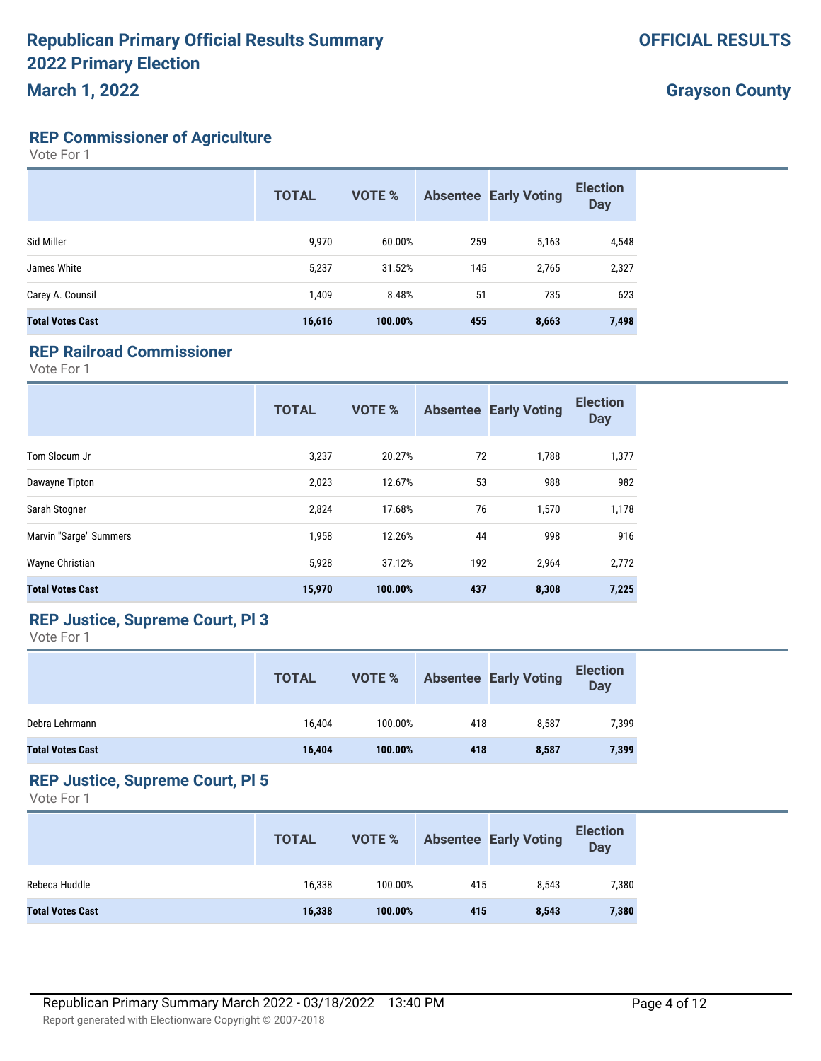# **REP Commissioner of Agriculture**

Vote For 1

|                         | <b>TOTAL</b> | <b>VOTE %</b> |     | <b>Absentee Early Voting</b> | <b>Election</b><br><b>Day</b> |
|-------------------------|--------------|---------------|-----|------------------------------|-------------------------------|
| Sid Miller              | 9,970        | 60.00%        | 259 | 5,163                        | 4,548                         |
| James White             | 5,237        | 31.52%        | 145 | 2,765                        | 2,327                         |
| Carey A. Counsil        | 1,409        | 8.48%         | 51  | 735                          | 623                           |
| <b>Total Votes Cast</b> | 16,616       | 100.00%       | 455 | 8,663                        | 7,498                         |

### **REP Railroad Commissioner**

Vote For 1

|                         | <b>TOTAL</b> | <b>VOTE %</b> |     | <b>Absentee Early Voting</b> | <b>Election</b><br><b>Day</b> |
|-------------------------|--------------|---------------|-----|------------------------------|-------------------------------|
| Tom Slocum Jr           | 3,237        | 20.27%        | 72  | 1,788                        | 1,377                         |
| Dawayne Tipton          | 2,023        | 12.67%        | 53  | 988                          | 982                           |
| Sarah Stogner           | 2,824        | 17.68%        | 76  | 1,570                        | 1,178                         |
| Marvin "Sarge" Summers  | 1,958        | 12.26%        | 44  | 998                          | 916                           |
| Wayne Christian         | 5,928        | 37.12%        | 192 | 2,964                        | 2,772                         |
| <b>Total Votes Cast</b> | 15,970       | 100.00%       | 437 | 8,308                        | 7,225                         |

## **REP Justice, Supreme Court, Pl 3**

Vote For 1

|                         | <b>TOTAL</b> | VOTE %  |     | <b>Absentee Early Voting</b> | <b>Election</b><br><b>Day</b> |
|-------------------------|--------------|---------|-----|------------------------------|-------------------------------|
| Debra Lehrmann          | 16.404       | 100.00% | 418 | 8.587                        | 7,399                         |
| <b>Total Votes Cast</b> | 16,404       | 100.00% | 418 | 8,587                        | 7,399                         |

#### **REP Justice, Supreme Court, Pl 5**

|                         | <b>TOTAL</b> | VOTE %  |     | <b>Absentee Early Voting</b> | <b>Election</b><br>Day |
|-------------------------|--------------|---------|-----|------------------------------|------------------------|
| Rebeca Huddle           | 16,338       | 100.00% | 415 | 8.543                        | 7,380                  |
| <b>Total Votes Cast</b> | 16,338       | 100.00% | 415 | 8,543                        | 7,380                  |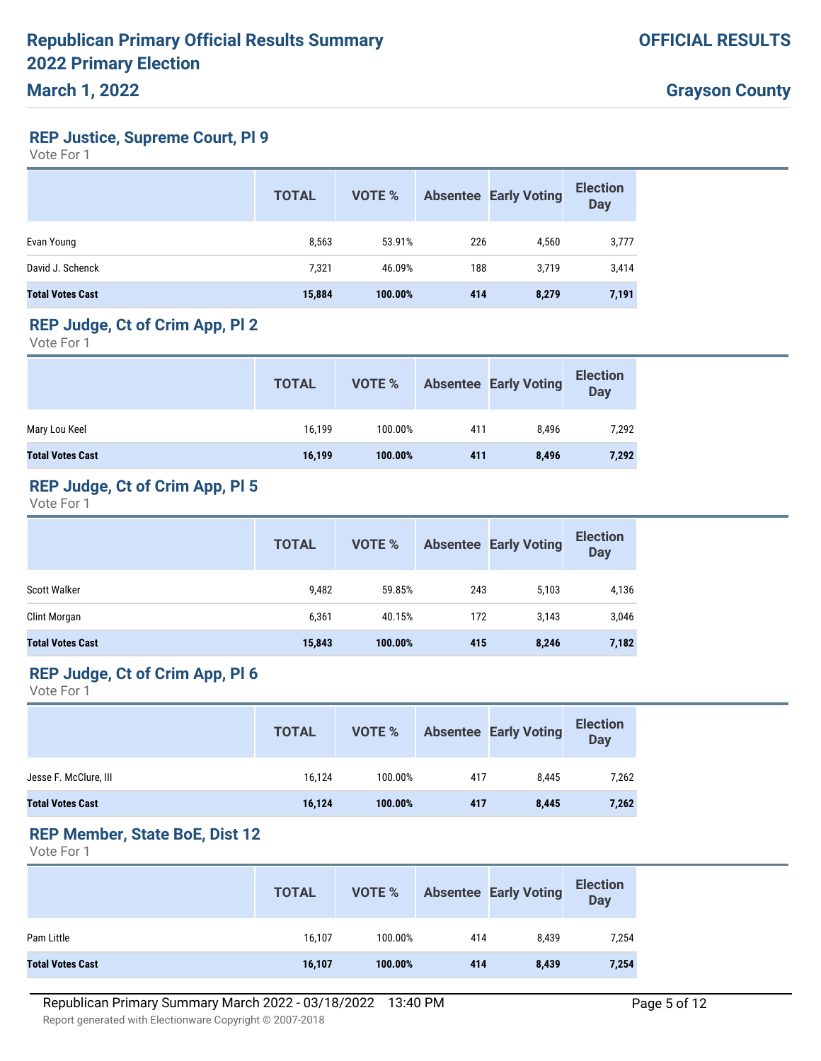## **REP Justice, Supreme Court, Pl 9**

Vote For 1

|                         | <b>TOTAL</b> | VOTE %  |     | <b>Absentee Early Voting</b> | <b>Election</b><br><b>Day</b> |
|-------------------------|--------------|---------|-----|------------------------------|-------------------------------|
| Evan Young              | 8,563        | 53.91%  | 226 | 4,560                        | 3,777                         |
| David J. Schenck        | 7,321        | 46.09%  | 188 | 3.719                        | 3,414                         |
| <b>Total Votes Cast</b> | 15,884       | 100.00% | 414 | 8,279                        | 7,191                         |

#### **REP Judge, Ct of Crim App, Pl 2**

Vote For 1

|                         | <b>TOTAL</b> | VOTE %  |     | <b>Absentee Early Voting</b> | <b>Election</b><br>Day |
|-------------------------|--------------|---------|-----|------------------------------|------------------------|
| Mary Lou Keel           | 16.199       | 100.00% | 411 | 8.496                        | 7,292                  |
| <b>Total Votes Cast</b> | 16,199       | 100.00% | 411 | 8,496                        | 7,292                  |

## **REP Judge, Ct of Crim App, Pl 5**

Vote For 1

|                         | <b>TOTAL</b> | VOTE %  |     | <b>Absentee Early Voting</b> | <b>Election</b><br>Day |
|-------------------------|--------------|---------|-----|------------------------------|------------------------|
| Scott Walker            | 9,482        | 59.85%  | 243 | 5,103                        | 4,136                  |
| Clint Morgan            | 6,361        | 40.15%  | 172 | 3,143                        | 3,046                  |
| <b>Total Votes Cast</b> | 15,843       | 100.00% | 415 | 8,246                        | 7,182                  |

## **REP Judge, Ct of Crim App, Pl 6**

Vote For 1

|                         | <b>TOTAL</b> | VOTE %  |     | <b>Absentee Early Voting</b> | <b>Election</b><br>Day |
|-------------------------|--------------|---------|-----|------------------------------|------------------------|
| Jesse F. McClure, III   | 16.124       | 100.00% | 417 | 8.445                        | 7,262                  |
| <b>Total Votes Cast</b> | 16,124       | 100.00% | 417 | 8,445                        | 7,262                  |

## **REP Member, State BoE, Dist 12**

|                         | <b>TOTAL</b> | VOTE %  |     | <b>Absentee Early Voting</b> | <b>Election</b><br>Day |
|-------------------------|--------------|---------|-----|------------------------------|------------------------|
| Pam Little              | 16,107       | 100.00% | 414 | 8,439                        | 7,254                  |
| <b>Total Votes Cast</b> | 16,107       | 100.00% | 414 | 8,439                        | 7,254                  |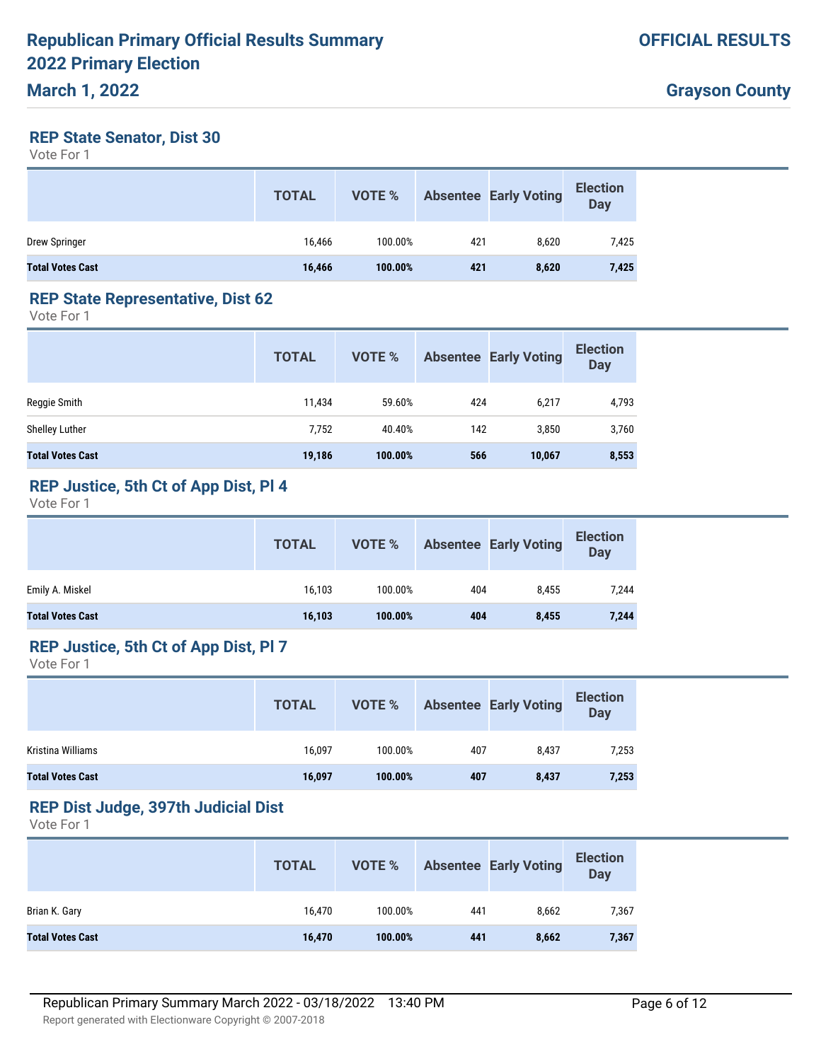#### **REP State Senator, Dist 30**

Vote For 1

|                         | <b>TOTAL</b> | VOTE %  |     | <b>Absentee Early Voting</b> | <b>Election</b><br>Day |
|-------------------------|--------------|---------|-----|------------------------------|------------------------|
| Drew Springer           | 16.466       | 100.00% | 421 | 8,620                        | 7,425                  |
| <b>Total Votes Cast</b> | 16,466       | 100.00% | 421 | 8,620                        | 7,425                  |

#### **REP State Representative, Dist 62**

Vote For 1

|                         | <b>TOTAL</b> | <b>VOTE %</b> |     | <b>Absentee Early Voting</b> | <b>Election</b><br><b>Day</b> |
|-------------------------|--------------|---------------|-----|------------------------------|-------------------------------|
| Reggie Smith            | 11,434       | 59.60%        | 424 | 6.217                        | 4,793                         |
| Shelley Luther          | 7,752        | 40.40%        | 142 | 3,850                        | 3,760                         |
| <b>Total Votes Cast</b> | 19,186       | 100.00%       | 566 | 10,067                       | 8,553                         |

## **REP Justice, 5th Ct of App Dist, Pl 4**

Vote For 1

|                         | <b>TOTAL</b> | VOTE %  |     | Absentee Early Voting | <b>Election</b><br>Day |
|-------------------------|--------------|---------|-----|-----------------------|------------------------|
| Emily A. Miskel         | 16,103       | 100.00% | 404 | 8,455                 | 7,244                  |
| <b>Total Votes Cast</b> | 16,103       | 100.00% | 404 | 8,455                 | 7,244                  |

#### **REP Justice, 5th Ct of App Dist, Pl 7**

Vote For 1

|                         | <b>TOTAL</b> | VOTE %  |     | <b>Absentee Early Voting</b> | <b>Election</b><br>Day |
|-------------------------|--------------|---------|-----|------------------------------|------------------------|
| Kristina Williams       | 16.097       | 100.00% | 407 | 8.437                        | 7,253                  |
| <b>Total Votes Cast</b> | 16,097       | 100.00% | 407 | 8,437                        | 7,253                  |

#### **REP Dist Judge, 397th Judicial Dist**

|                         | <b>TOTAL</b> | VOTE %  |     | <b>Absentee Early Voting</b> | <b>Election</b><br><b>Day</b> |
|-------------------------|--------------|---------|-----|------------------------------|-------------------------------|
| Brian K. Gary           | 16.470       | 100.00% | 441 | 8.662                        | 7,367                         |
| <b>Total Votes Cast</b> | 16,470       | 100.00% | 441 | 8,662                        | 7,367                         |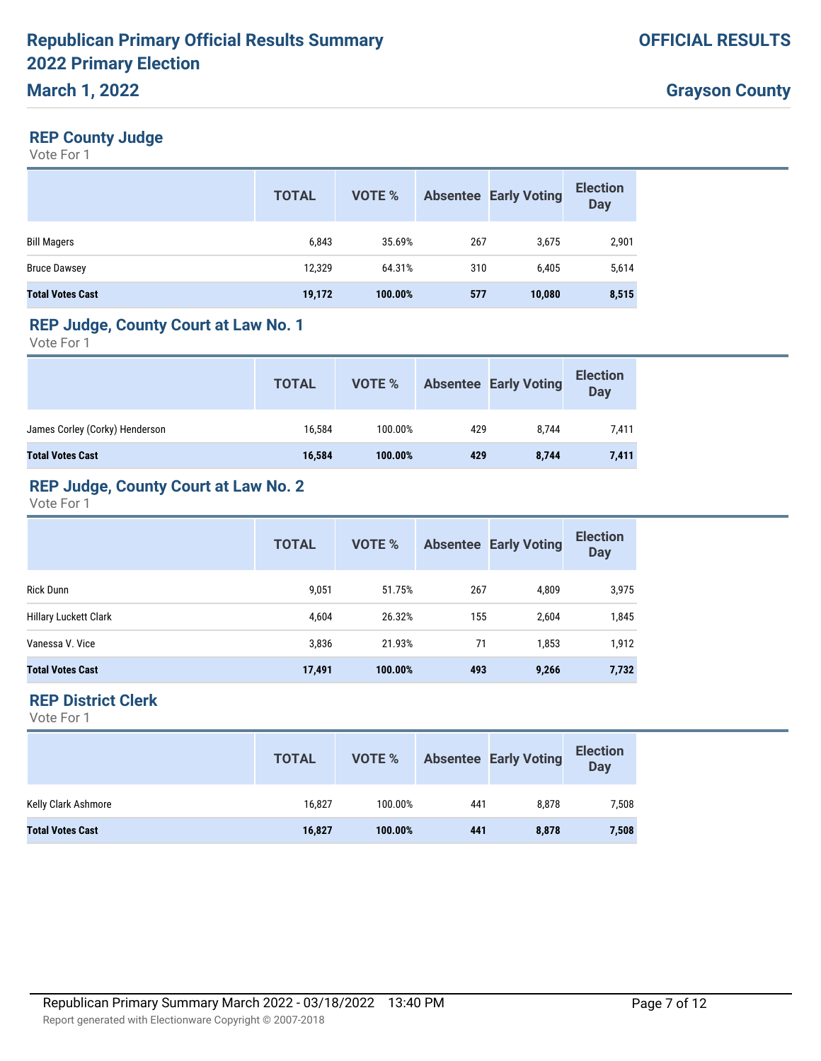### **REP County Judge**

Vote For 1

|                         | <b>TOTAL</b> | VOTE %  |     | <b>Absentee Early Voting</b> | <b>Election</b><br><b>Day</b> |
|-------------------------|--------------|---------|-----|------------------------------|-------------------------------|
| <b>Bill Magers</b>      | 6,843        | 35.69%  | 267 | 3,675                        | 2,901                         |
| <b>Bruce Dawsey</b>     | 12,329       | 64.31%  | 310 | 6,405                        | 5,614                         |
| <b>Total Votes Cast</b> | 19,172       | 100.00% | 577 | 10,080                       | 8,515                         |

#### **REP Judge, County Court at Law No. 1**

Vote For 1

|                                | <b>TOTAL</b> | VOTE %  |     | <b>Absentee Early Voting</b> | <b>Election</b><br><b>Day</b> |
|--------------------------------|--------------|---------|-----|------------------------------|-------------------------------|
| James Corley (Corky) Henderson | 16.584       | 100.00% | 429 | 8.744                        | 7,411                         |
| <b>Total Votes Cast</b>        | 16,584       | 100.00% | 429 | 8,744                        | 7,411                         |

## **REP Judge, County Court at Law No. 2**

Vote For 1

|                         | <b>TOTAL</b> | <b>VOTE %</b> |     | <b>Absentee Early Voting</b> | <b>Election</b><br><b>Day</b> |
|-------------------------|--------------|---------------|-----|------------------------------|-------------------------------|
| <b>Rick Dunn</b>        | 9,051        | 51.75%        | 267 | 4,809                        | 3,975                         |
| Hillary Luckett Clark   | 4,604        | 26.32%        | 155 | 2,604                        | 1,845                         |
| Vanessa V. Vice         | 3,836        | 21.93%        | 71  | 1,853                        | 1,912                         |
| <b>Total Votes Cast</b> | 17,491       | 100.00%       | 493 | 9,266                        | 7,732                         |

### **REP District Clerk**

|                         | <b>TOTAL</b> |         |     | <b>VOTE %</b> Absentee Early Voting | <b>Election</b><br>Day |
|-------------------------|--------------|---------|-----|-------------------------------------|------------------------|
| Kelly Clark Ashmore     | 16,827       | 100.00% | 441 | 8,878                               | 7,508                  |
| <b>Total Votes Cast</b> | 16,827       | 100.00% | 441 | 8,878                               | 7,508                  |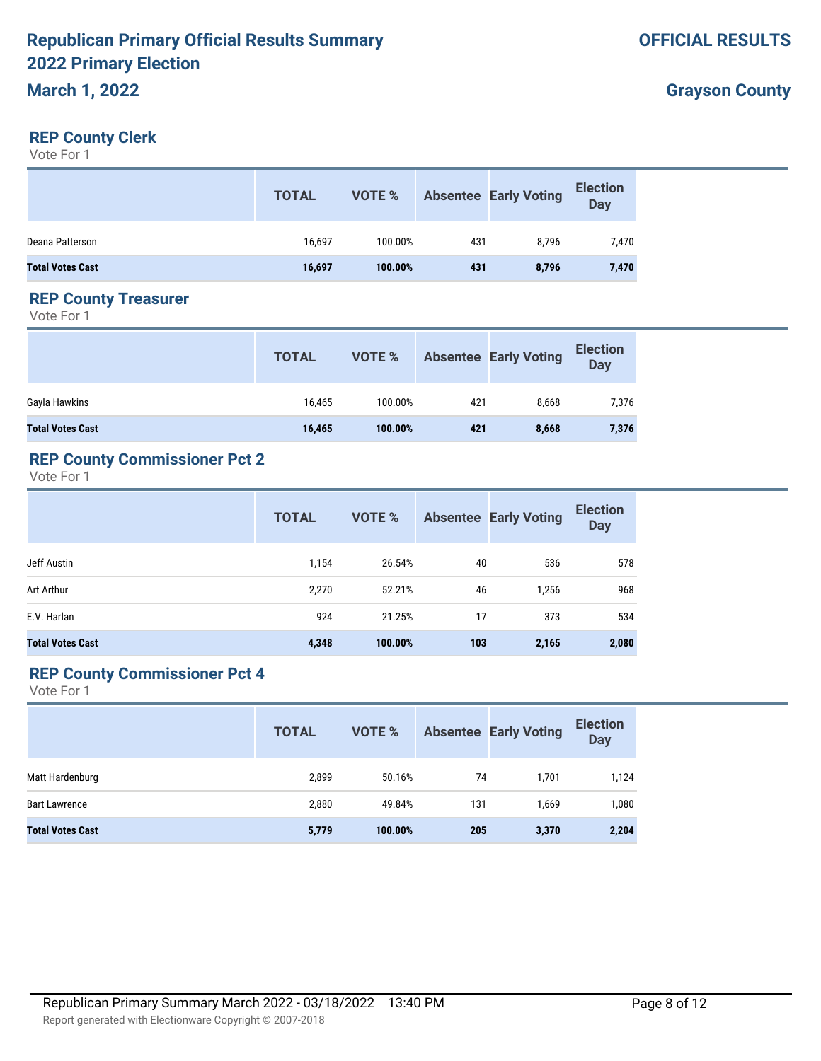#### **REP County Clerk**

Vote For 1

|                         | <b>TOTAL</b> | VOTE %  |     | <b>Absentee Early Voting</b> | <b>Election</b><br><b>Day</b> |
|-------------------------|--------------|---------|-----|------------------------------|-------------------------------|
| Deana Patterson         | 16,697       | 100.00% | 431 | 8.796                        | 7,470                         |
| <b>Total Votes Cast</b> | 16,697       | 100.00% | 431 | 8,796                        | 7,470                         |

#### **REP County Treasurer**

Vote For 1

|                         | <b>TOTAL</b> | VOTE %  |     | <b>Absentee Early Voting</b> | <b>Election</b><br><b>Day</b> |
|-------------------------|--------------|---------|-----|------------------------------|-------------------------------|
| Gayla Hawkins           | 16,465       | 100.00% | 421 | 8.668                        | 7,376                         |
| <b>Total Votes Cast</b> | 16,465       | 100.00% | 421 | 8,668                        | 7,376                         |

## **REP County Commissioner Pct 2**

Vote For 1

|                         | <b>TOTAL</b> | VOTE %  |     | <b>Absentee Early Voting</b> | <b>Election</b><br><b>Day</b> |
|-------------------------|--------------|---------|-----|------------------------------|-------------------------------|
| Jeff Austin             | 1,154        | 26.54%  | 40  | 536                          | 578                           |
| Art Arthur              | 2,270        | 52.21%  | 46  | 1,256                        | 968                           |
| E.V. Harlan             | 924          | 21.25%  | 17  | 373                          | 534                           |
| <b>Total Votes Cast</b> | 4,348        | 100.00% | 103 | 2,165                        | 2,080                         |

### **REP County Commissioner Pct 4**

|                         | <b>TOTAL</b> | VOTE %  |     | <b>Absentee Early Voting</b> | <b>Election</b><br><b>Day</b> |
|-------------------------|--------------|---------|-----|------------------------------|-------------------------------|
| Matt Hardenburg         | 2.899        | 50.16%  | 74  | 1.701                        | 1,124                         |
| <b>Bart Lawrence</b>    | 2,880        | 49.84%  | 131 | 1.669                        | 1,080                         |
| <b>Total Votes Cast</b> | 5,779        | 100.00% | 205 | 3,370                        | 2,204                         |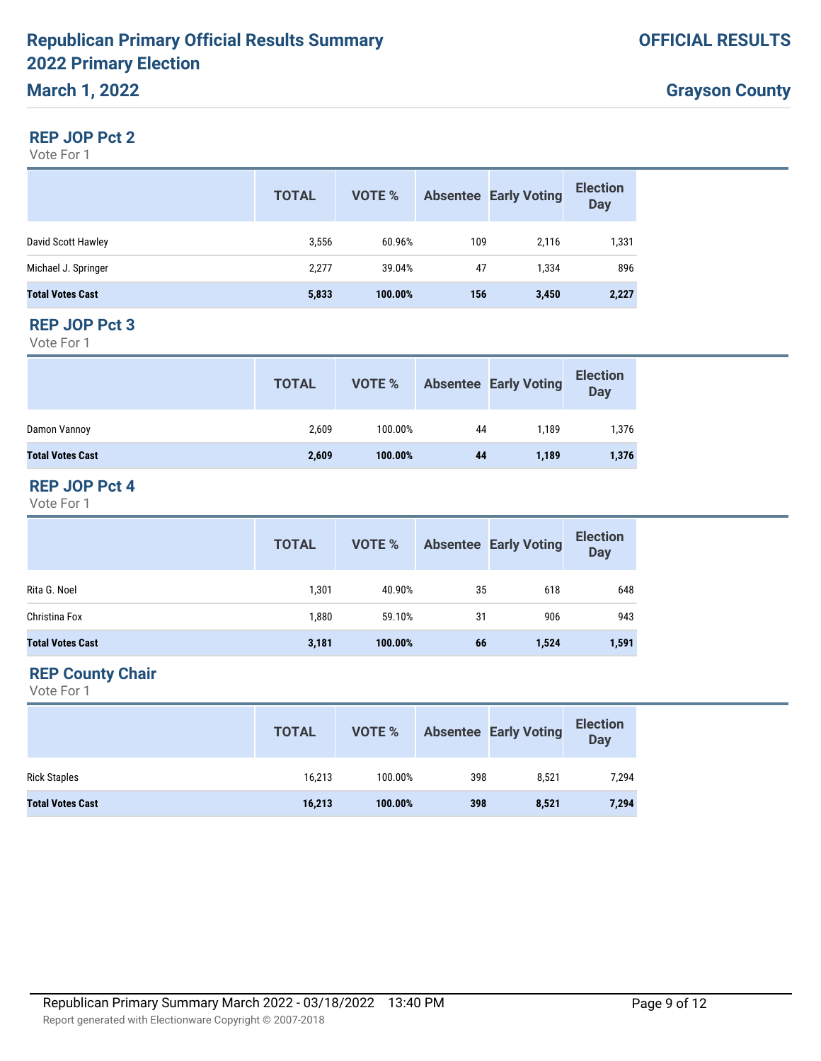#### **REP JOP Pct 2**

Vote For 1

|                         | <b>TOTAL</b> | VOTE %  |     | <b>Absentee Early Voting</b> | <b>Election</b><br><b>Day</b> |
|-------------------------|--------------|---------|-----|------------------------------|-------------------------------|
| David Scott Hawley      | 3,556        | 60.96%  | 109 | 2.116                        | 1,331                         |
| Michael J. Springer     | 2,277        | 39.04%  | 47  | 1,334                        | 896                           |
| <b>Total Votes Cast</b> | 5,833        | 100.00% | 156 | 3,450                        | 2,227                         |

#### **REP JOP Pct 3**

Vote For 1

|                         | <b>TOTAL</b> | VOTE %  |    | <b>Absentee Early Voting</b> | <b>Election</b><br><b>Day</b> |
|-------------------------|--------------|---------|----|------------------------------|-------------------------------|
| Damon Vannoy            | 2,609        | 100.00% | 44 | 1.189                        | 1,376                         |
| <b>Total Votes Cast</b> | 2,609        | 100.00% | 44 | 1,189                        | 1,376                         |

#### **REP JOP Pct 4**

Vote For 1

|                         | <b>TOTAL</b> | VOTE %  |    | <b>Absentee Early Voting</b> | <b>Election</b><br>Day |
|-------------------------|--------------|---------|----|------------------------------|------------------------|
| Rita G. Noel            | 1,301        | 40.90%  | 35 | 618                          | 648                    |
| Christina Fox           | 1,880        | 59.10%  | 31 | 906                          | 943                    |
| <b>Total Votes Cast</b> | 3,181        | 100.00% | 66 | 1,524                        | 1,591                  |

## **REP County Chair**

|                         | <b>TOTAL</b> | VOTE %  |     | <b>Absentee Early Voting</b> | <b>Election</b><br>Day |
|-------------------------|--------------|---------|-----|------------------------------|------------------------|
| <b>Rick Staples</b>     | 16,213       | 100.00% | 398 | 8.521                        | 7,294                  |
| <b>Total Votes Cast</b> | 16,213       | 100.00% | 398 | 8,521                        | 7,294                  |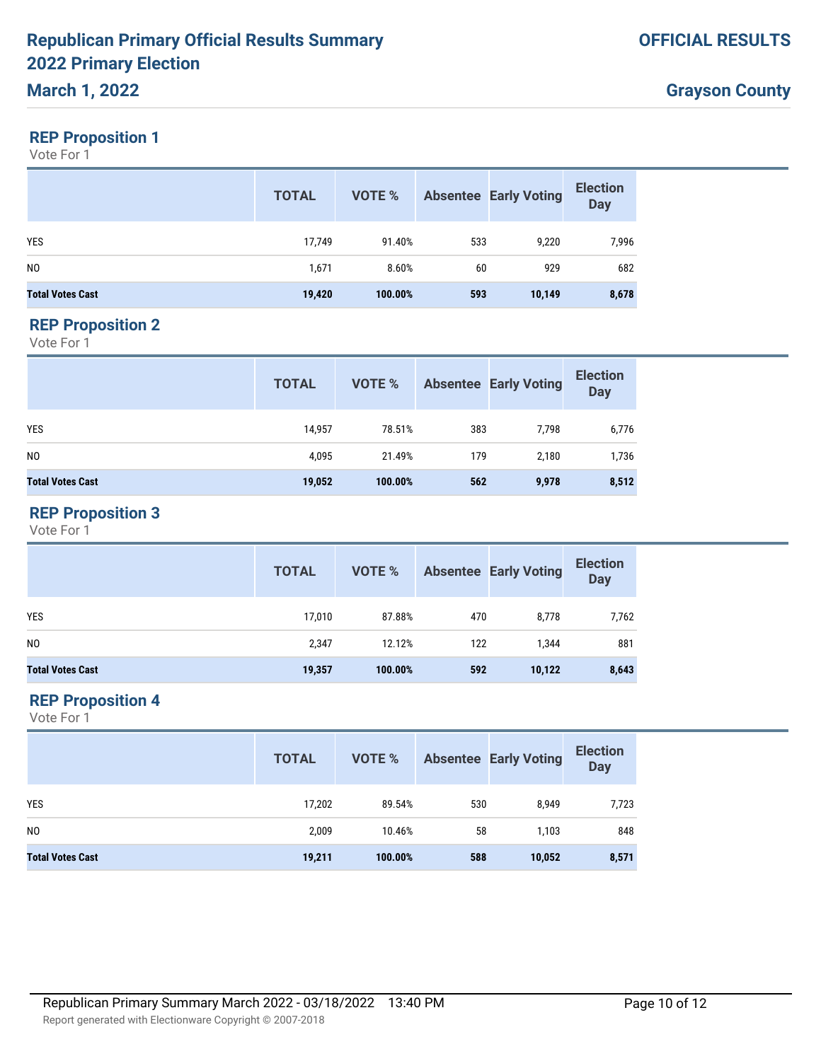## **REP Proposition 1**

Vote For 1

|                         | <b>TOTAL</b> | VOTE %  |     | <b>Absentee Early Voting</b> | <b>Election</b><br><b>Day</b> |
|-------------------------|--------------|---------|-----|------------------------------|-------------------------------|
| <b>YES</b>              | 17,749       | 91.40%  | 533 | 9,220                        | 7,996                         |
| N <sub>0</sub>          | 1,671        | 8.60%   | 60  | 929                          | 682                           |
| <b>Total Votes Cast</b> | 19,420       | 100.00% | 593 | 10,149                       | 8,678                         |

#### **REP Proposition 2**

Vote For 1

|                         | <b>TOTAL</b> | VOTE %  |     | <b>Absentee Early Voting</b> | <b>Election</b><br><b>Day</b> |
|-------------------------|--------------|---------|-----|------------------------------|-------------------------------|
| YES                     | 14,957       | 78.51%  | 383 | 7.798                        | 6,776                         |
| NO.                     | 4,095        | 21.49%  | 179 | 2,180                        | 1,736                         |
| <b>Total Votes Cast</b> | 19,052       | 100.00% | 562 | 9,978                        | 8,512                         |

## **REP Proposition 3**

Vote For 1

|                         | <b>TOTAL</b> | VOTE %  |     | <b>Absentee Early Voting</b> | <b>Election</b><br>Day |
|-------------------------|--------------|---------|-----|------------------------------|------------------------|
| <b>YES</b>              | 17,010       | 87.88%  | 470 | 8,778                        | 7,762                  |
| N <sub>0</sub>          | 2,347        | 12.12%  | 122 | 1.344                        | 881                    |
| <b>Total Votes Cast</b> | 19,357       | 100.00% | 592 | 10,122                       | 8,643                  |

### **REP Proposition 4**

|                         | <b>TOTAL</b> | VOTE %  |     | <b>Absentee Early Voting</b> | <b>Election</b><br>Day |
|-------------------------|--------------|---------|-----|------------------------------|------------------------|
| <b>YES</b>              | 17,202       | 89.54%  | 530 | 8,949                        | 7,723                  |
| N <sub>0</sub>          | 2,009        | 10.46%  | 58  | 1,103                        | 848                    |
| <b>Total Votes Cast</b> | 19,211       | 100.00% | 588 | 10,052                       | 8,571                  |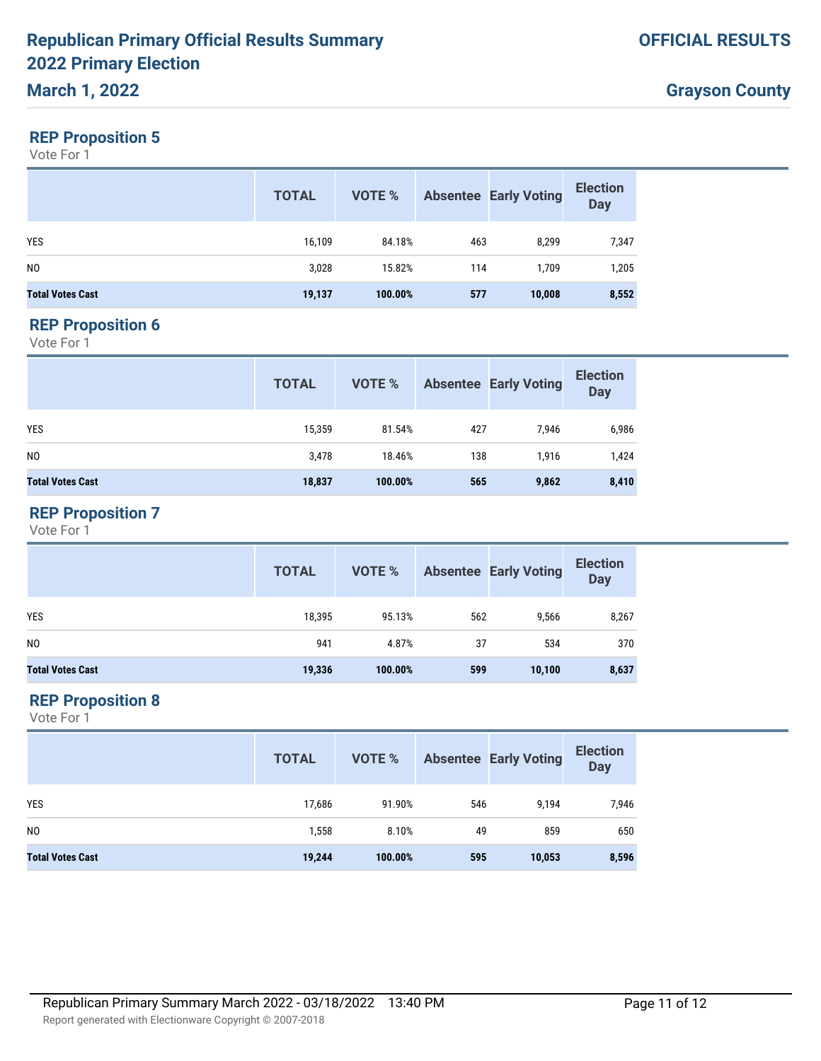## **REP Proposition 5**

Vote For 1

|                         | <b>TOTAL</b> | VOTE %  |     | <b>Absentee Early Voting</b> | <b>Election</b><br><b>Day</b> |
|-------------------------|--------------|---------|-----|------------------------------|-------------------------------|
| <b>YES</b>              | 16,109       | 84.18%  | 463 | 8,299                        | 7,347                         |
| N <sub>0</sub>          | 3,028        | 15.82%  | 114 | 1.709                        | 1,205                         |
| <b>Total Votes Cast</b> | 19,137       | 100.00% | 577 | 10,008                       | 8,552                         |

#### **REP Proposition 6**

Vote For 1

|                         | <b>TOTAL</b> | VOTE %  |     | <b>Absentee Early Voting</b> | <b>Election</b><br><b>Day</b> |
|-------------------------|--------------|---------|-----|------------------------------|-------------------------------|
| <b>YES</b>              | 15,359       | 81.54%  | 427 | 7,946                        | 6,986                         |
| NO.                     | 3,478        | 18.46%  | 138 | 1,916                        | 1,424                         |
| <b>Total Votes Cast</b> | 18,837       | 100.00% | 565 | 9,862                        | 8,410                         |

## **REP Proposition 7**

Vote For 1

|                         | <b>TOTAL</b> | VOTE %  |     | <b>Absentee Early Voting</b> | <b>Election</b><br><b>Day</b> |
|-------------------------|--------------|---------|-----|------------------------------|-------------------------------|
| <b>YES</b>              | 18,395       | 95.13%  | 562 | 9,566                        | 8,267                         |
| N <sub>0</sub>          | 941          | 4.87%   | 37  | 534                          | 370                           |
| <b>Total Votes Cast</b> | 19,336       | 100.00% | 599 | 10,100                       | 8,637                         |

## **REP Proposition 8**

|                         | <b>TOTAL</b> | VOTE %  |     | <b>Absentee Early Voting</b> | <b>Election</b><br><b>Day</b> |
|-------------------------|--------------|---------|-----|------------------------------|-------------------------------|
| YES                     | 17,686       | 91.90%  | 546 | 9,194                        | 7,946                         |
| N <sub>0</sub>          | 1,558        | 8.10%   | 49  | 859                          | 650                           |
| <b>Total Votes Cast</b> | 19,244       | 100.00% | 595 | 10,053                       | 8,596                         |